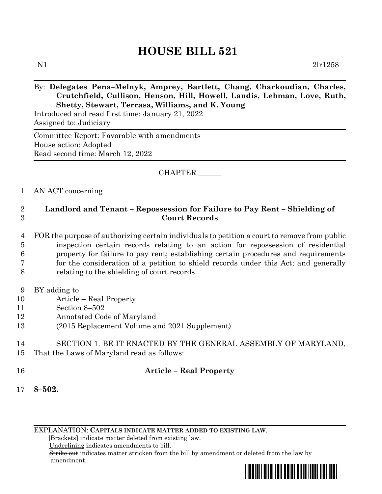# **HOUSE BILL 521**

N1 2lr1258

# By: **Delegates Pena–Melnyk, Amprey, Bartlett, Chang, Charkoudian, Charles, Crutchfield, Cullison, Henson, Hill, Howell, Landis, Lehman, Love, Ruth, Shetty, Stewart, Terrasa, Williams, and K. Young**

Introduced and read first time: January 21, 2022 Assigned to: Judiciary

Committee Report: Favorable with amendments House action: Adopted Read second time: March 12, 2022

# CHAPTER \_\_\_\_\_\_

# 1 AN ACT concerning

# 2 **Landlord and Tenant – Repossession for Failure to Pay Rent – Shielding of**  3 **Court Records**

- 4 FOR the purpose of authorizing certain individuals to petition a court to remove from public 5 inspection certain records relating to an action for repossession of residential 6 property for failure to pay rent; establishing certain procedures and requirements 7 for the consideration of a petition to shield records under this Act; and generally 8 relating to the shielding of court records.
- 9 BY adding to
- 10 Article Real Property
- 11 Section 8–502
- 12 Annotated Code of Maryland
- 13 (2015 Replacement Volume and 2021 Supplement)

# 14 SECTION 1. BE IT ENACTED BY THE GENERAL ASSEMBLY OF MARYLAND, 15 That the Laws of Maryland read as follows:

# 16 **Article – Real Property**

17 **8–502.**

EXPLANATION: **CAPITALS INDICATE MATTER ADDED TO EXISTING LAW**.

 **[**Brackets**]** indicate matter deleted from existing law.

Underlining indicates amendments to bill.

 Strike out indicates matter stricken from the bill by amendment or deleted from the law by amendment.

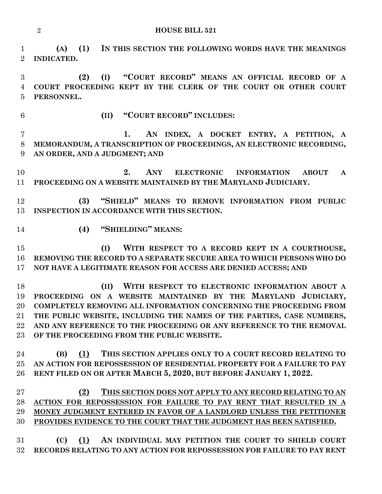**HOUSE BILL 521**

 **(A) (1) IN THIS SECTION THE FOLLOWING WORDS HAVE THE MEANINGS INDICATED. (2) (I) "COURT RECORD" MEANS AN OFFICIAL RECORD OF A COURT PROCEEDING KEPT BY THE CLERK OF THE COURT OR OTHER COURT PERSONNEL. (II) "COURT RECORD" INCLUDES: 1. AN INDEX, A DOCKET ENTRY, A PETITION, A MEMORANDUM, A TRANSCRIPTION OF PROCEEDINGS, AN ELECTRONIC RECORDING, AN ORDER, AND A JUDGMENT; AND 2. ANY ELECTRONIC INFORMATION ABOUT A PROCEEDING ON A WEBSITE MAINTAINED BY THE MARYLAND JUDICIARY. (3) "SHIELD" MEANS TO REMOVE INFORMATION FROM PUBLIC INSPECTION IN ACCORDANCE WITH THIS SECTION. (4) "SHIELDING" MEANS: (I) WITH RESPECT TO A RECORD KEPT IN A COURTHOUSE, REMOVING THE RECORD TO A SEPARATE SECURE AREA TO WHICH PERSONS WHO DO NOT HAVE A LEGITIMATE REASON FOR ACCESS ARE DENIED ACCESS; AND (II) WITH RESPECT TO ELECTRONIC INFORMATION ABOUT A PROCEEDING ON A WEBSITE MAINTAINED BY THE MARYLAND JUDICIARY, COMPLETELY REMOVING ALL INFORMATION CONCERNING THE PROCEEDING FROM THE PUBLIC WEBSITE, INCLUDING THE NAMES OF THE PARTIES, CASE NUMBERS, AND ANY REFERENCE TO THE PROCEEDING OR ANY REFERENCE TO THE REMOVAL OF THE PROCEEDING FROM THE PUBLIC WEBSITE. (B) (1) THIS SECTION APPLIES ONLY TO A COURT RECORD RELATING TO AN ACTION FOR REPOSSESSION OF RESIDENTIAL PROPERTY FOR A FAILURE TO PAY RENT FILED ON OR AFTER MARCH 5, 2020, BUT BEFORE JANUARY 1, 2022. (2) THIS SECTION DOES NOT APPLY TO ANY RECORD RELATING TO AN ACTION FOR REPOSSESSION FOR FAILURE TO PAY RENT THAT RESULTED IN A MONEY JUDGMENT ENTERED IN FAVOR OF A LANDLORD UNLESS THE PETITIONER PROVIDES EVIDENCE TO THE COURT THAT THE JUDGMENT HAS BEEN SATISFIED. (C) (1) AN INDIVIDUAL MAY PETITION THE COURT TO SHIELD COURT RECORDS RELATING TO ANY ACTION FOR REPOSSESSION FOR FAILURE TO PAY RENT**